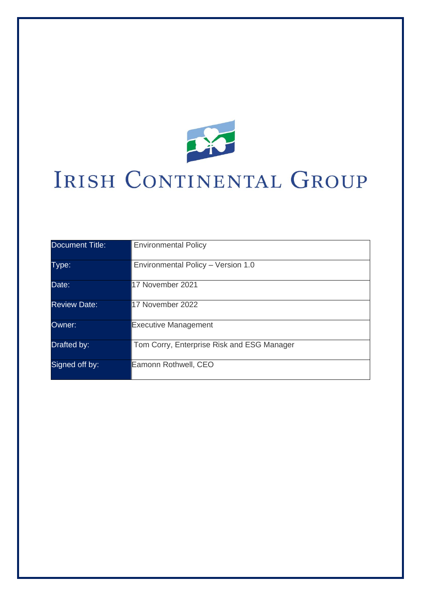

# IRISH CONTINENTAL GROUP

| Document Title:     | <b>Environmental Policy</b>                |
|---------------------|--------------------------------------------|
|                     |                                            |
| Type:               | Environmental Policy - Version 1.0         |
|                     |                                            |
| Date:               | 17 November 2021                           |
|                     |                                            |
| <b>Review Date:</b> | 17 November 2022                           |
|                     |                                            |
| Owner:              | <b>Executive Management</b>                |
|                     |                                            |
| Drafted by:         | Tom Corry, Enterprise Risk and ESG Manager |
|                     |                                            |
| Signed off by:      | Eamonn Rothwell, CEO                       |
|                     |                                            |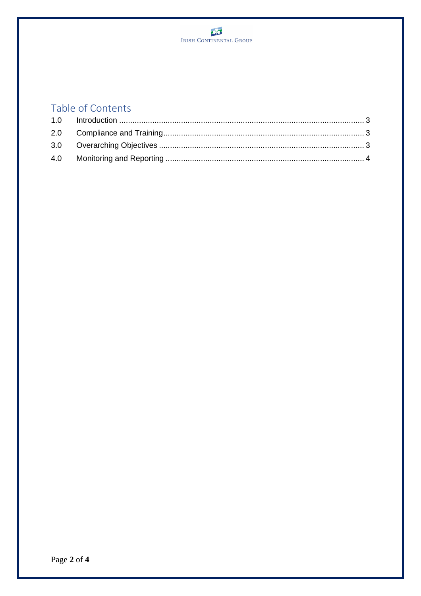## Table of Contents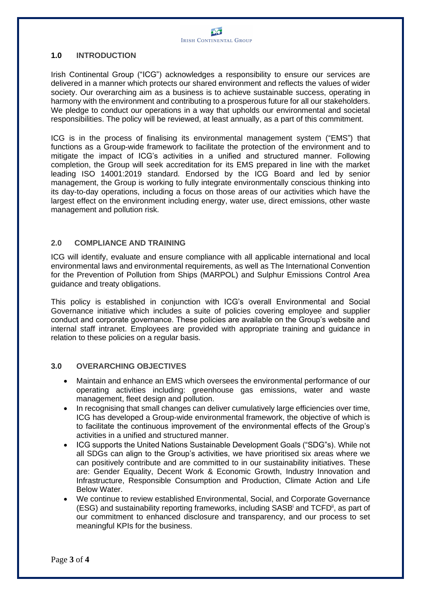#### **1.0 INTRODUCTION**

Irish Continental Group ("ICG") acknowledges a responsibility to ensure our services are delivered in a manner which protects our shared environment and reflects the values of wider society. Our overarching aim as a business is to achieve sustainable success, operating in harmony with the environment and contributing to a prosperous future for all our stakeholders. We pledge to conduct our operations in a way that upholds our environmental and societal responsibilities. The policy will be reviewed, at least annually, as a part of this commitment.

ICG is in the process of finalising its environmental management system ("EMS") that functions as a Group-wide framework to facilitate the protection of the environment and to mitigate the impact of ICG's activities in a unified and structured manner. Following completion, the Group will seek accreditation for its EMS prepared in line with the market leading ISO 14001:2019 standard. Endorsed by the ICG Board and led by senior management, the Group is working to fully integrate environmentally conscious thinking into its day-to-day operations, including a focus on those areas of our activities which have the largest effect on the environment including energy, water use, direct emissions, other waste management and pollution risk.

### **2.0 COMPLIANCE AND TRAINING**

ICG will identify, evaluate and ensure compliance with all applicable international and local environmental laws and environmental requirements, as well as The International Convention for the Prevention of Pollution from Ships (MARPOL) and Sulphur Emissions Control Area guidance and treaty obligations.

This policy is established in conjunction with ICG's overall Environmental and Social Governance initiative which includes a suite of policies covering employee and supplier conduct and corporate governance. These policies are available on the Group's website and internal staff intranet. Employees are provided with appropriate training and guidance in relation to these policies on a regular basis.

### **3.0 OVERARCHING OBJECTIVES**

- Maintain and enhance an EMS which oversees the environmental performance of our operating activities including: greenhouse gas emissions, water and waste management, fleet design and pollution.
- In recognising that small changes can deliver cumulatively large efficiencies over time, ICG has developed a Group-wide environmental framework, the objective of which is to facilitate the continuous improvement of the environmental effects of the Group's activities in a unified and structured manner.
- ICG supports the United Nations Sustainable Development Goals ("SDG"s). While not all SDGs can align to the Group's activities, we have prioritised six areas where we can positively contribute and are committed to in our sustainability initiatives. These are: Gender Equality, Decent Work & Economic Growth, Industry Innovation and Infrastructure, Responsible Consumption and Production, Climate Action and Life Below Water.
- We continue to review established Environmental, Social, and Corporate Governance (ESG) and sustainability reporting frameworks, including SASB<sup>i</sup> and TCFD<sup>ii</sup>, as part of our commitment to enhanced disclosure and transparency, and our process to set meaningful KPIs for the business.